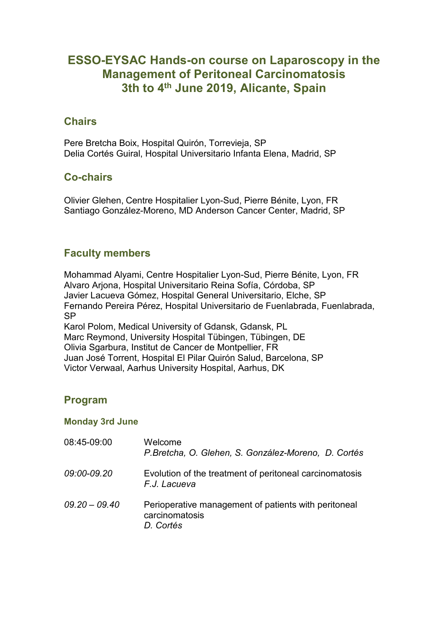# **ESSO-EYSAC Hands-on course on Laparoscopy in the Management of Peritoneal Carcinomatosis 3th to 4th June 2019, Alicante, Spain**

#### **Chairs**

Pere Bretcha Boix, Hospital Quirón, Torrevieja, SP Delia Cortés Guiral, Hospital Universitario Infanta Elena, Madrid, SP

#### **Co-chairs**

Olivier Glehen, Centre Hospitalier Lyon-Sud, Pierre Bénite, Lyon, FR Santiago González-Moreno, MD Anderson Cancer Center, Madrid, SP

## **Faculty members**

Mohammad Alyami, Centre Hospitalier Lyon-Sud, Pierre Bénite, Lyon, FR Alvaro Arjona, Hospital Universitario Reina Sofía, Córdoba, SP Javier Lacueva Gómez, Hospital General Universitario, Elche, SP Fernando Pereira Pérez, Hospital Universitario de Fuenlabrada, Fuenlabrada, SP

Karol Polom, Medical University of Gdansk, Gdansk, PL Marc Reymond, University Hospital Tübingen, Tübingen, DE Olivia Sgarbura, Institut de Cancer de Montpellier, FR Juan José Torrent, Hospital El Pilar Quirón Salud, Barcelona, SP Victor Verwaal, Aarhus University Hospital, Aarhus, DK

## **Program**

#### **Monday 3rd June**

| 08:45-09:00     | Welcome<br>P.Bretcha, O. Glehen, S. González-Moreno, D. Cortés                      |
|-----------------|-------------------------------------------------------------------------------------|
| 09:00-09.20     | Evolution of the treatment of peritoneal carcinomatosis<br>F.J. Lacueva             |
| $09.20 - 09.40$ | Perioperative management of patients with peritoneal<br>carcinomatosis<br>D. Cortés |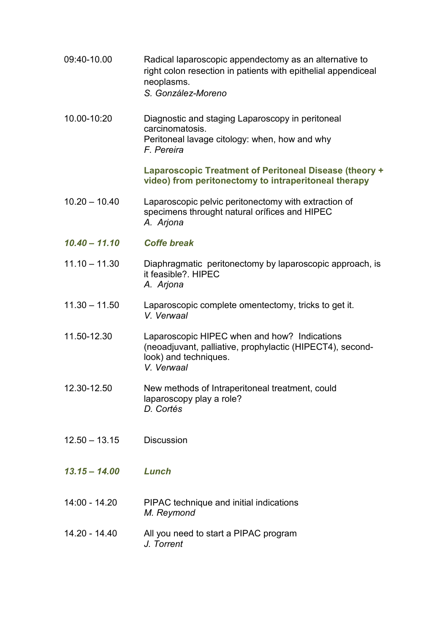09:40-10.00 Radical laparoscopic appendectomy as an alternative to right colon resection in patients with epithelial appendiceal neoplasms. *S. González-Moreno* 10.00-10:20 Diagnostic and staging Laparoscopy in peritoneal carcinomatosis. Peritoneal lavage citology: when, how and why *F. Pereira*  **Laparoscopic Treatment of Peritoneal Disease (theory + video) from peritonectomy to intraperitoneal therapy** 10.20 – 10.40 Laparoscopic pelvic peritonectomy with extraction of specimens throught natural orífices and HIPEC *A. Arjona 10.40 – 11.10 Coffe break* 11.10 – 11.30 Diaphragmatic peritonectomy by laparoscopic approach, is it feasible?. HIPEC *A. Arjona*  11.30 – 11.50 Laparoscopic complete omentectomy, tricks to get it. *V. Verwaal* 11.50-12.30 Laparoscopic HIPEC when and how? Indications (neoadjuvant, palliative, prophylactic (HIPECT4), secondlook) and techniques. *V. Verwaal* 12.30-12.50 New methods of Intraperitoneal treatment, could laparoscopy play a role? *D. Cortés* 12.50 – 13.15 Discussion *13.15 – 14.00 Lunch* 14:00 - 14.20 PIPAC technique and initial indications *M. Reymond*  14.20 - 14.40 All you need to start a PIPAC program *J. Torrent*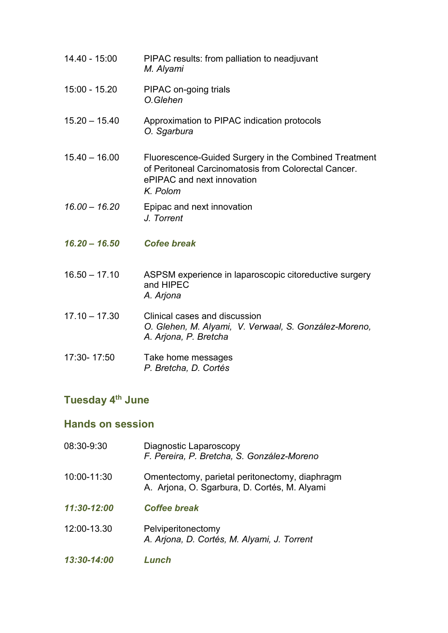- 14.40 15:00 PIPAC results: from palliation to neadjuvant *M. Alyami*
- 15:00 15.20 PIPAC on-going trials *O.Glehen*
- 15.20 15.40 Approximation to PIPAC indication protocols *O. Sgarbura*
- 15.40 16.00 Fluorescence-Guided Surgery in the Combined Treatment of Peritoneal Carcinomatosis from Colorectal Cancer. ePIPAC and next innovation *K. Polom*
- *16.00 – 16.20* Epipac and next innovation *J. Torrent*
- *16.20 – 16.50 Cofee break*
- 16.50 17.10 ASPSM experience in laparoscopic citoreductive surgery and HIPEC *A. Arjona*
- 17.10 17.30 Clinical cases and discussion *O. Glehen, M. Alyami, V. Verwaal, S. González-Moreno, A. Arjona, P. Bretcha*
- 17:30- 17:50 Take home messages *P. Bretcha, D. Cortés*

## **Tuesday 4th June**

#### **Hands on session**

| 08:30-9:30  | Diagnostic Laparoscopy<br>F. Pereira, P. Bretcha, S. González-Moreno                           |
|-------------|------------------------------------------------------------------------------------------------|
| 10:00-11:30 | Omentectomy, parietal peritonectomy, diaphragm<br>A. Arjona, O. Sgarbura, D. Cortés, M. Alyami |
| 11:30-12:00 | <b>Coffee break</b>                                                                            |
| 12:00-13.30 | Pelviperitonectomy<br>A. Arjona, D. Cortés, M. Alyami, J. Torrent                              |
| 13:30-14:00 | Lunch                                                                                          |